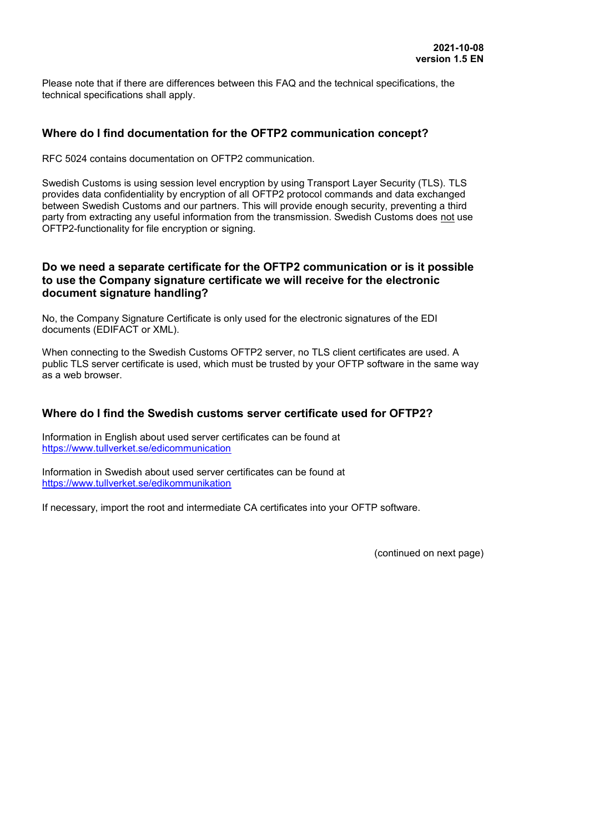Please note that if there are differences between this FAQ and the technical specifications, the technical specifications shall apply.

## **Where do I find documentation for the OFTP2 communication concept?**

RFC 5024 contains documentation on OFTP2 communication.

Swedish Customs is using session level encryption by using Transport Layer Security (TLS). TLS provides data confidentiality by encryption of all OFTP2 protocol commands and data exchanged between Swedish Customs and our partners. This will provide enough security, preventing a third party from extracting any useful information from the transmission. Swedish Customs does not use OFTP2-functionality for file encryption or signing.

### **Do we need a separate certificate for the OFTP2 communication or is it possible to use the Company signature certificate we will receive for the electronic document signature handling?**

No, the Company Signature Certificate is only used for the electronic signatures of the EDI documents (EDIFACT or XML).

When connecting to the Swedish Customs OFTP2 server, no TLS client certificates are used. A public TLS server certificate is used, which must be trusted by your OFTP software in the same way as a web browser.

## **Where do I find the Swedish customs server certificate used for OFTP2?**

Information in English about used server certificates can be found at <https://www.tullverket.se/edicommunication>

Information in Swedish about used server certificates can be found at <https://www.tullverket.se/edikommunikation>

If necessary, import the root and intermediate CA certificates into your OFTP software.

(continued on next page)